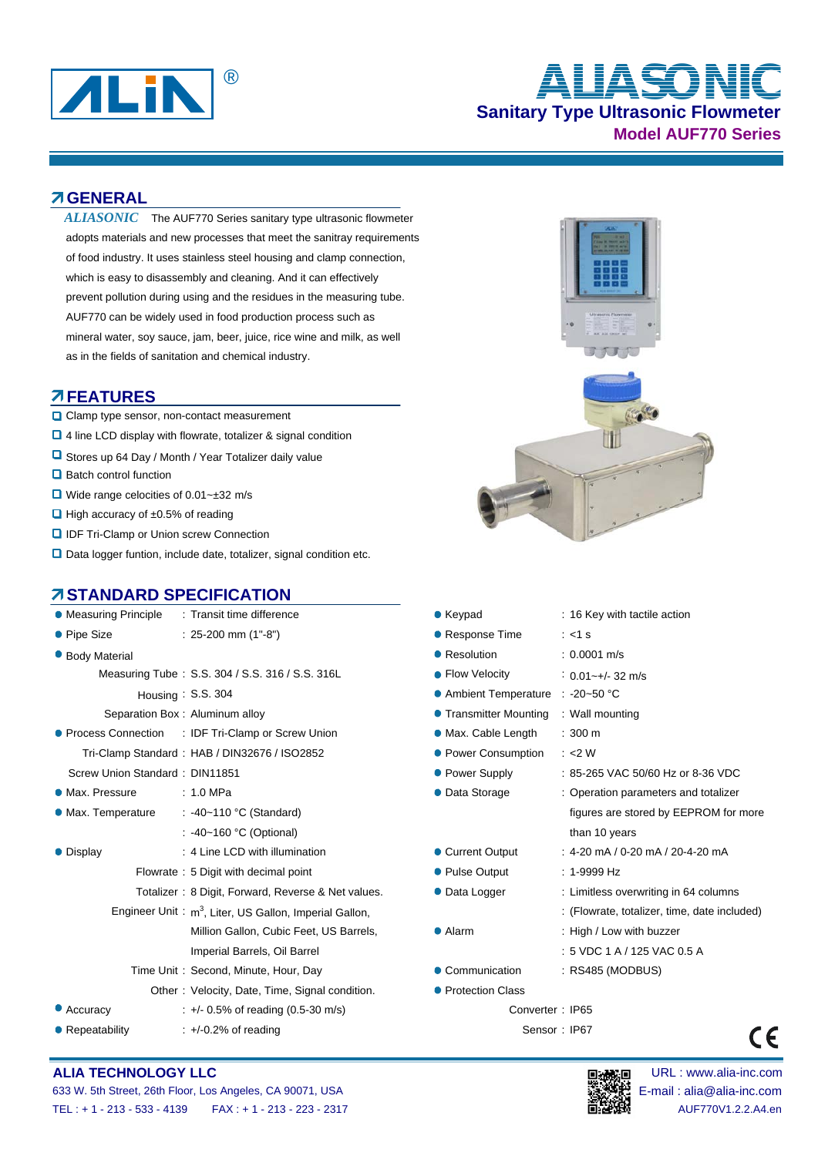

# **Sanitary Type Ultrasonic Flowmeter Model AUF770 Series** ® **ALIASONIC**

**GENERAL**

ALIASONIC The AUF770 Series sanitary type ultrasonic flowmeter adopts materials and new processes that meet the sanitray requirements of food industry. It uses stainless steel housing and clamp connection, which is easy to disassembly and cleaning. And it can effectively prevent pollution during using and the residues in the measuring tube. AUF770 can be widely used in food production process such as mineral water, soy sauce, jam, beer, juice, rice wine and milk, as well as in the fields of sanitation and chemical industry.

#### **AFEATURES**

- **Q** Clamp type sensor, non-contact measurement
- 4 line LCD display with flowrate, totalizer & signal condition
- **u** Stores up 64 Day / Month / Year Totalizer daily value
- $\Box$  Batch control function
- Wide range celocities of 0.01~±32 m/s
- $\Box$  High accuracy of  $\pm 0.5\%$  of reading
- **Q IDF Tri-Clamp or Union screw Connection**
- □ Data logger funtion, include date, totalizer, signal condition etc.

### **STANDARD SPECIFICATION**

| • Measuring Principle | : Transit time difference                                          | $\bullet$ Keypad                         | : 16 Key with tactile action              |  |  |  |
|-----------------------|--------------------------------------------------------------------|------------------------------------------|-------------------------------------------|--|--|--|
| • Pipe Size           | $: 25-200$ mm $(1 - 8)$                                            | • Response Time                          | $: <1$ s                                  |  |  |  |
| <b>Body Material</b>  |                                                                    | • Resolution                             | $: 0.0001$ m/s                            |  |  |  |
|                       | Measuring Tube: S.S. 304 / S.S. 316 / S.S. 316L                    | • Flow Velocity                          | $: 0.01 - +/- 32$ m/s                     |  |  |  |
|                       | Housing: $S.S.304$                                                 | • Ambient Temperature<br>$: -20 - 50$ °C |                                           |  |  |  |
|                       | Separation Box: Aluminum alloy                                     | • Transmitter Mounting                   | : Wall mounting                           |  |  |  |
|                       | • Process Connection : IDF Tri-Clamp or Screw Union                | • Max. Cable Length                      | $: 300 \text{ m}$                         |  |  |  |
|                       | Tri-Clamp Standard: HAB / DIN32676 / ISO2852                       | • Power Consumption                      | : < 2 W                                   |  |  |  |
|                       | Screw Union Standard: DIN11851                                     | • Power Supply                           | : 85-265 VAC 50/60 Hz or 8-36 VDC         |  |  |  |
| • Max. Pressure       | :1.0 MPa                                                           | • Data Storage                           | : Operation parameters and totalizer      |  |  |  |
| • Max. Temperature    | : -40~110 °C (Standard)                                            |                                          | figures are stored by EEPROM for          |  |  |  |
|                       | : -40~160 °C (Optional)                                            |                                          | than 10 years                             |  |  |  |
| • Display             | : 4 Line LCD with illumination                                     | • Current Output                         | $: 4-20$ mA / 0-20 mA / 20-4-20 mA        |  |  |  |
|                       | Flowrate: 5 Digit with decimal point                               | • Pulse Output                           | $: 1-9999$ Hz                             |  |  |  |
|                       | Totalizer: 8 Digit, Forward, Reverse & Net values.                 | • Data Logger                            | : Limitless overwriting in 64 columns     |  |  |  |
|                       | Engineer Unit: m <sup>3</sup> , Liter, US Gallon, Imperial Gallon, |                                          | : (Flowrate, totalizer, time, date inclu- |  |  |  |
|                       | Million Gallon, Cubic Feet, US Barrels,                            | • Alarm                                  | : High / Low with buzzer                  |  |  |  |
|                       | Imperial Barrels, Oil Barrel                                       |                                          | : 5 VDC 1 A / 125 VAC 0.5 A               |  |  |  |
|                       | Time Unit: Second, Minute, Hour, Day                               | • Communication                          | : RS485 (MODBUS)                          |  |  |  |
|                       | Other: Velocity, Date, Time, Signal condition.                     | • Protection Class                       |                                           |  |  |  |
| • Accuracy            | $\div$ +/- 0.5% of reading (0.5-30 m/s)                            | Converter: IP65                          |                                           |  |  |  |
| • Repeatability       | $\div$ +/-0.2% of reading                                          |                                          | Sensor: IP67                              |  |  |  |



| STANDARD SPECIFICATION         |                                                                    |                        |                                              |
|--------------------------------|--------------------------------------------------------------------|------------------------|----------------------------------------------|
| Measuring Principle            | : Transit time difference                                          | $\bullet$ Keypad       | : 16 Key with tactile action                 |
| Pipe Size                      | $: 25-200$ mm $(1 - 8)$                                            | • Response Time        | $: <1$ s                                     |
| <b>Body Material</b>           |                                                                    | • Resolution           | $: 0.0001$ m/s                               |
|                                | Measuring Tube: S.S. 304 / S.S. 316 / S.S. 316L                    | • Flow Velocity        | $: 0.01 - +/- 32$ m/s                        |
|                                | Housing $: S.S. 304$                                               | • Ambient Temperature  | $\therefore$ -20~50 °C                       |
|                                | Separation Box: Aluminum alloy                                     | • Transmitter Mounting | : Wall mounting                              |
|                                | Process Connection : IDF Tri-Clamp or Screw Union                  | • Max. Cable Length    | $: 300 \text{ m}$                            |
|                                | Tri-Clamp Standard: HAB / DIN32676 / ISO2852                       | • Power Consumption    | : < 2W                                       |
| Screw Union Standard: DIN11851 |                                                                    | • Power Supply         | : 85-265 VAC 50/60 Hz or 8-36 VDC            |
| Max. Pressure                  | :1.0 MPa                                                           | • Data Storage         | : Operation parameters and totalizer         |
| Max. Temperature               | : -40~110 °C (Standard)                                            |                        | figures are stored by EEPROM for more        |
|                                | : -40~160 °C (Optional)                                            |                        | than 10 years                                |
| Display                        | : 4 Line LCD with illumination                                     | • Current Output       | $: 4-20$ mA / 0-20 mA / 20-4-20 mA           |
|                                | Flowrate: 5 Digit with decimal point                               | • Pulse Output         | $: 1-9999$ Hz                                |
|                                | Totalizer: 8 Digit, Forward, Reverse & Net values.                 | • Data Logger          | : Limitless overwriting in 64 columns        |
|                                | Engineer Unit: m <sup>3</sup> , Liter, US Gallon, Imperial Gallon, |                        | : (Flowrate, totalizer, time, date included) |
|                                | Million Gallon, Cubic Feet, US Barrels,                            | • Alarm                | : High / Low with buzzer                     |
|                                | Imperial Barrels, Oil Barrel                                       |                        | :5 VDC 1 A / 125 VAC 0.5 A                   |
|                                | Time Unit: Second, Minute, Hour, Day                               | • Communication        | $:$ RS485 (MODBUS)                           |
|                                |                                                                    |                        |                                              |

- **Protection Class** 
	- Converter : IP65
		- Sensor : IP67

#### **ALIA TECHNOLOGY LLC DEVICED ALIA TECHNOLOGY LLC DEVICED ALIA TECHNOLOGY LLC**



 $\epsilon$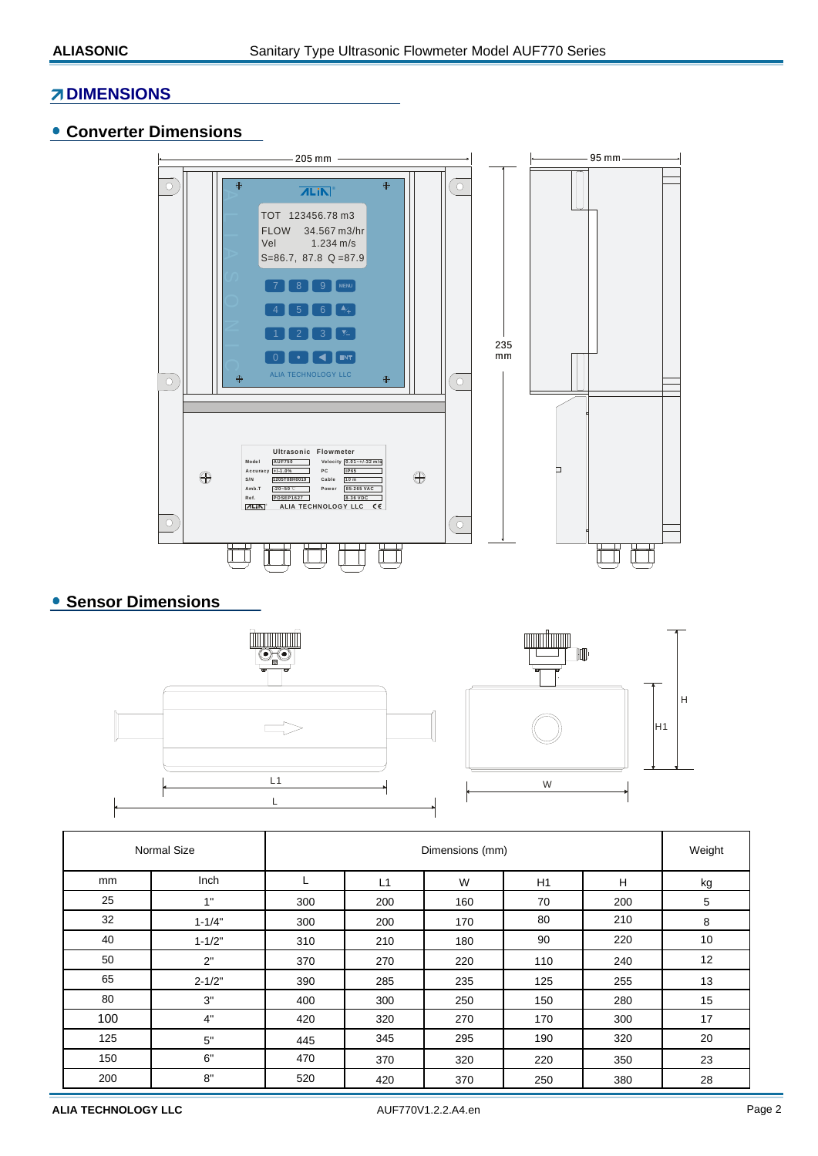#### **ZIDIMENSIONS**

#### **Converter Dimensions**



## **• Sensor Dimensions**





|     | <b>Normal Size</b> |     | Weight |     |     |     |    |
|-----|--------------------|-----|--------|-----|-----|-----|----|
| mm  | Inch               | L   | L1     | W   | H1  | H   | kg |
| 25  | 1"                 | 300 | 200    | 160 | 70  | 200 | 5  |
| 32  | $1 - 1/4"$         | 300 | 200    | 170 | 80  | 210 | 8  |
| 40  | $1 - 1/2"$         | 310 | 210    | 180 | 90  | 220 | 10 |
| 50  | 2"                 | 370 | 270    | 220 | 110 | 240 | 12 |
| 65  | $2 - 1/2"$         | 390 | 285    | 235 | 125 | 255 | 13 |
| 80  | 3"                 | 400 | 300    | 250 | 150 | 280 | 15 |
| 100 | 4"                 | 420 | 320    | 270 | 170 | 300 | 17 |
| 125 | 5"                 | 445 | 345    | 295 | 190 | 320 | 20 |
| 150 | 6"                 | 470 | 370    | 320 | 220 | 350 | 23 |
| 200 | 8"                 | 520 | 420    | 370 | 250 | 380 | 28 |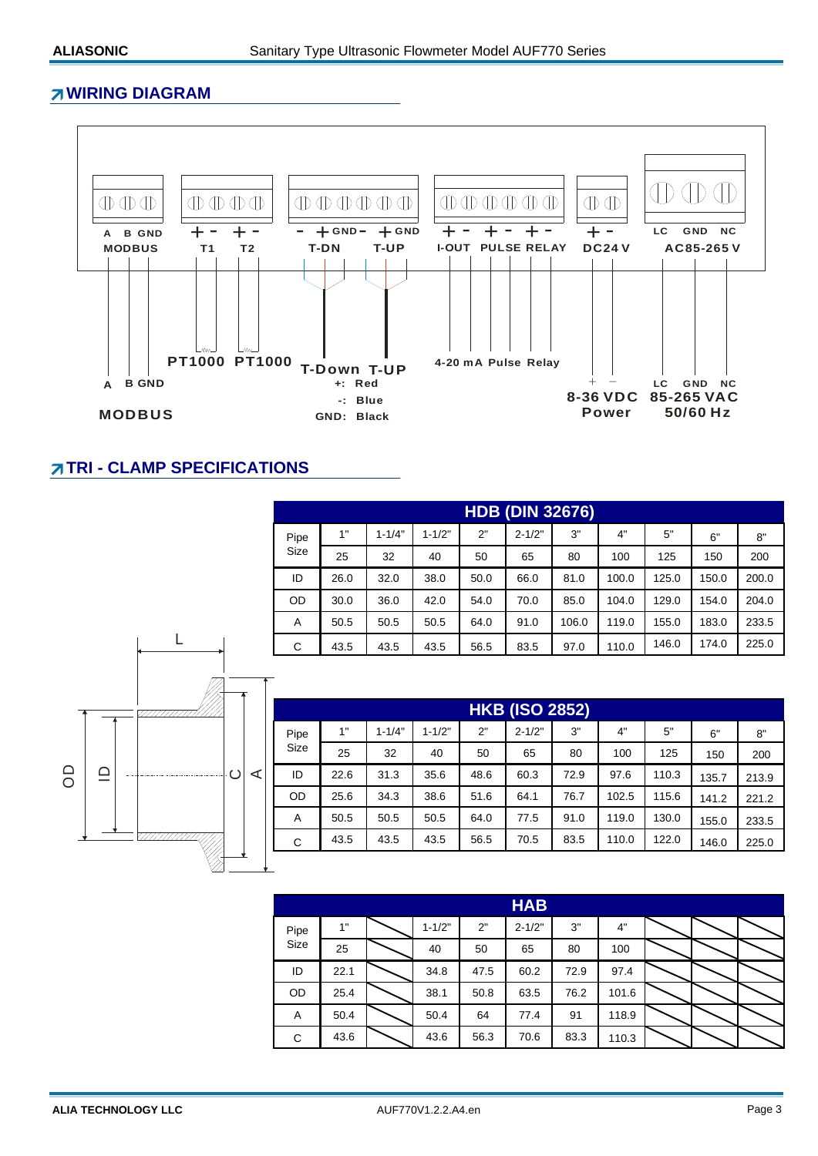#### **WIRING DIAGRAM**



### **TRI - CLAMP SPECIFICATIONS**

L

|           | <b>HDB (DIN 32676)</b> |            |            |      |            |       |       |       |       |       |  |  |
|-----------|------------------------|------------|------------|------|------------|-------|-------|-------|-------|-------|--|--|
| Pipe      | 1"                     | $1 - 1/4"$ | $1 - 1/2"$ | 2"   | $2 - 1/2"$ | 3"    | 4"    | 5"    | 6"    | 8"    |  |  |
| Size      | 25                     | 32         | 40         | 50   | 65         | 80    | 100   | 125   | 150   | 200   |  |  |
| ID        | 26.0                   | 32.0       | 38.0       | 50.0 | 66.0       | 81.0  | 100.0 | 125.0 | 150.0 | 200.0 |  |  |
| <b>OD</b> | 30.0                   | 36.0       | 42.0       | 54.0 | 70.0       | 85.0  | 104.0 | 129.0 | 154.0 | 204.0 |  |  |
| A         | 50.5                   | 50.5       | 50.5       | 64.0 | 91.0       | 106.0 | 119.0 | 155.0 | 183.0 | 233.5 |  |  |
| C         | 43.5                   | 43.5       | 43.5       | 56.5 | 83.5       | 97.0  | 110.0 | 146.0 | 174.0 | 225.0 |  |  |



| <b>HKB (ISO 2852)</b> |      |            |            |      |            |      |       |       |       |       |  |
|-----------------------|------|------------|------------|------|------------|------|-------|-------|-------|-------|--|
| Pipe                  | 1"   | $1 - 1/4"$ | $1 - 1/2"$ | 2"   | $2 - 1/2"$ | 3"   | 4"    | 5"    | 6"    | 8"    |  |
| Size                  | 25   | 32         | 40         | 50   | 65         | 80   | 100   | 125   | 150   | 200   |  |
| ID                    | 22.6 | 31.3       | 35.6       | 48.6 | 60.3       | 72.9 | 97.6  | 110.3 | 135.7 | 213.9 |  |
| OD                    | 25.6 | 34.3       | 38.6       | 51.6 | 64.1       | 76.7 | 102.5 | 115.6 | 141.2 | 221.2 |  |
| A                     | 50.5 | 50.5       | 50.5       | 64.0 | 77.5       | 91.0 | 119.0 | 130.0 | 155.0 | 233.5 |  |
| C                     | 43.5 | 43.5       | 43.5       | 56.5 | 70.5       | 83.5 | 110.0 | 122.0 | 146.0 | 225.0 |  |
|                       |      |            |            |      |            |      |       |       |       |       |  |

|      | <b>HAB</b> |  |            |      |            |      |       |  |  |  |  |  |
|------|------------|--|------------|------|------------|------|-------|--|--|--|--|--|
| Pipe | 1"         |  | $1 - 1/2"$ | 2"   | $2 - 1/2"$ | 3"   | 4"    |  |  |  |  |  |
| Size | 25         |  | 40         | 50   | 65         | 80   | 100   |  |  |  |  |  |
| ID   | 22.1       |  | 34.8       | 47.5 | 60.2       | 72.9 | 97.4  |  |  |  |  |  |
| OD   | 25.4       |  | 38.1       | 50.8 | 63.5       | 76.2 | 101.6 |  |  |  |  |  |
| Α    | 50.4       |  | 50.4       | 64   | 77.4       | 91   | 118.9 |  |  |  |  |  |
| C    | 43.6       |  | 43.6       | 56.3 | 70.6       | 83.3 | 110.3 |  |  |  |  |  |